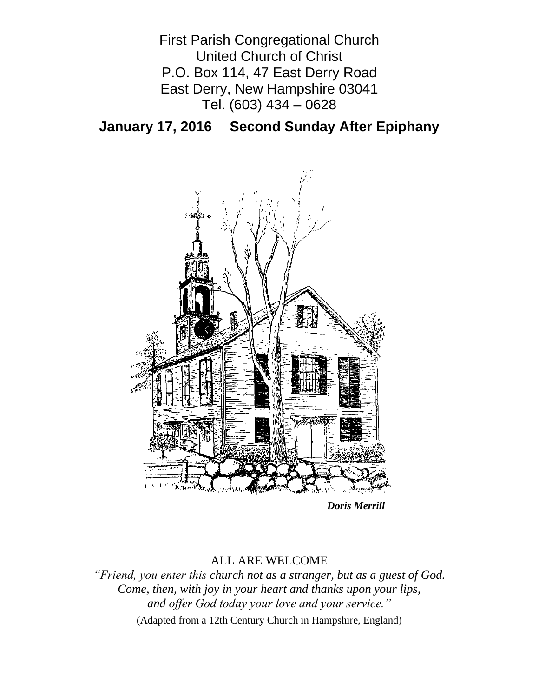First Parish Congregational Church United Church of Christ P.O. Box 114, 47 East Derry Road East Derry, New Hampshire 03041 Tel. (603) 434 – 0628

**January 17, 2016 Second Sunday After Epiphany**



*Doris Merrill*

# ALL ARE WELCOME

*"Friend, you enter this church not as a stranger, but as a guest of God. Come, then, with joy in your heart and thanks upon your lips, and offer God today your love and your service."*

(Adapted from a 12th Century Church in Hampshire, England)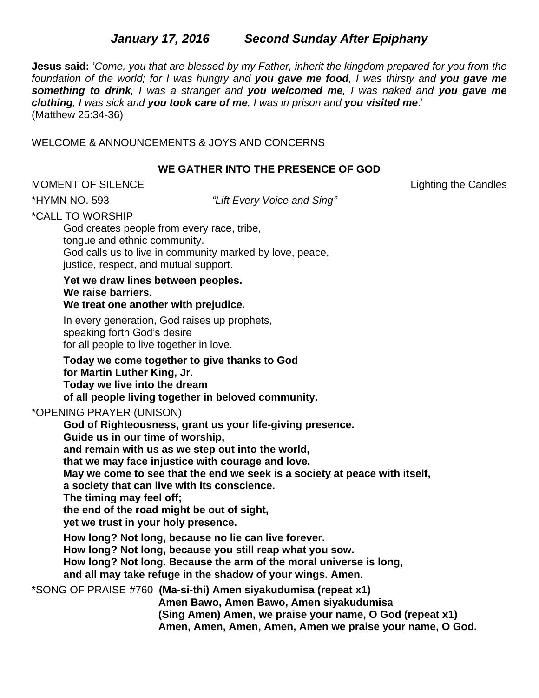# *January 17, 2016**Second Sunday After Epiphany*

**Jesus said:** '*Come, you that are blessed by my Father, inherit the kingdom prepared for you from the foundation of the world; for I was hungry and you gave me food, I was thirsty and you gave me something to drink, I was a stranger and you welcomed me, I was naked and you gave me clothing, I was sick and you took care of me, I was in prison and you visited me*.' (Matthew 25:34-36)

WELCOME & ANNOUNCEMENTS & JOYS AND CONCERNS

### **WE GATHER INTO THE PRESENCE OF GOD**

MOMENT OF SILENCE Lighting the Candles

\*HYMN NO. 593 *"Lift Every Voice and Sing"*

\*CALL TO WORSHIP

God creates people from every race, tribe, tongue and ethnic community. God calls us to live in community marked by love, peace, justice, respect, and mutual support.

**Yet we draw lines between peoples. We raise barriers. We treat one another with prejudice.**

In every generation, God raises up prophets, speaking forth God's desire for all people to live together in love.

**Today we come together to give thanks to God for Martin Luther King, Jr. Today we live into the dream of all people living together in beloved community.**

### \*OPENING PRAYER (UNISON)

**God of Righteousness, grant us your life-giving presence. Guide us in our time of worship, and remain with us as we step out into the world, that we may face injustice with courage and love. May we come to see that the end we seek is a society at peace with itself, a society that can live with its conscience. The timing may feel off; the end of the road might be out of sight, yet we trust in your holy presence. How long? Not long, because no lie can live forever. How long? Not long, because you still reap what you sow. How long? Not long. Because the arm of the moral universe is long, and all may take refuge in the shadow of your wings. Amen.**

\*SONG OF PRAISE #760 **(Ma-si-thi) Amen siyakudumisa (repeat x1)**

**Amen Bawo, Amen Bawo, Amen siyakudumisa (Sing Amen) Amen, we praise your name, O God (repeat x1) Amen, Amen, Amen, Amen, Amen we praise your name, O God.**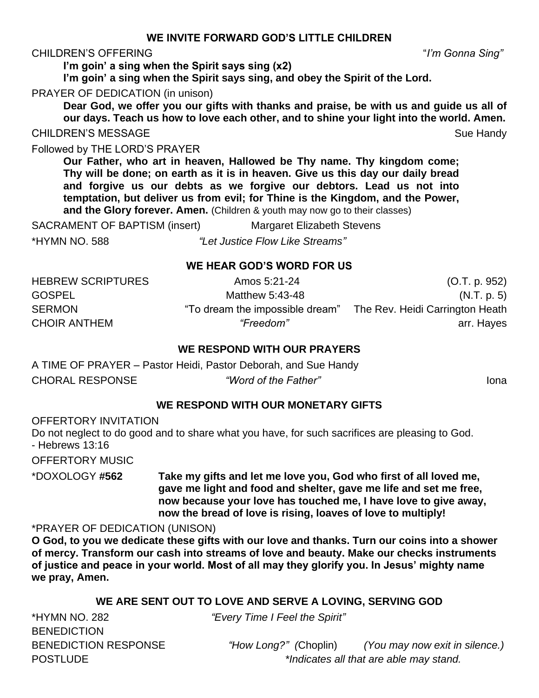## **WE INVITE FORWARD GOD'S LITTLE CHILDREN**

### CHILDREN'S OFFERING "*I'm Gonna Sing"*

**I'm goin' a sing when the Spirit says sing (x2)**

**I'm goin' a sing when the Spirit says sing, and obey the Spirit of the Lord.**

PRAYER OF DEDICATION (in unison)

**Dear God, we offer you our gifts with thanks and praise, be with us and guide us all of our days. Teach us how to love each other, and to shine your light into the world. Amen.**

CHILDREN'S MESSAGE Sue Handy Sue Handy

Followed by THE LORD'S PRAYER

**Our Father, who art in heaven, Hallowed be Thy name. Thy kingdom come; Thy will be done; on earth as it is in heaven. Give us this day our daily bread and forgive us our debts as we forgive our debtors. Lead us not into temptation, but deliver us from evil; for Thine is the Kingdom, and the Power, and the Glory forever. Amen.** (Children & youth may now go to their classes)

SACRAMENT OF BAPTISM (insert) Margaret Elizabeth Stevens

\*HYMN NO. 588 *"Let Justice Flow Like Streams"*

## **WE HEAR GOD'S WORD FOR US**

| <b>HEBREW SCRIPTURES</b> | Amos 5:21-24                    | (O.T. p. 952)                   |
|--------------------------|---------------------------------|---------------------------------|
| <b>GOSPEL</b>            | Matthew 5:43-48                 | (N.T. p. 5)                     |
| <b>SERMON</b>            | "To dream the impossible dream" | The Rev. Heidi Carrington Heath |
| <b>CHOIR ANTHEM</b>      | "Freedom"                       | arr. Hayes                      |
|                          |                                 |                                 |

## **WE RESPOND WITH OUR PRAYERS**

A TIME OF PRAYER – Pastor Heidi, Pastor Deborah, and Sue Handy CHORAL RESPONSE *"Word of the Father"* Iona

## **WE RESPOND WITH OUR MONETARY GIFTS**

OFFERTORY INVITATION Do not neglect to do good and to share what you have, for such sacrifices are pleasing to God. - Hebrews 13:16 OFFERTORY MUSIC \*DOXOLOGY **#562 Take my gifts and let me love you, God who first of all loved me,**

**gave me light and food and shelter, gave me life and set me free, now because your love has touched me, I have love to give away, now the bread of love is rising, loaves of love to multiply!**

## \*PRAYER OF DEDICATION (UNISON)

**O God, to you we dedicate these gifts with our love and thanks. Turn our coins into a shower of mercy. Transform our cash into streams of love and beauty. Make our checks instruments of justice and peace in your world. Most of all may they glorify you. In Jesus' mighty name we pray, Amen.**

## **WE ARE SENT OUT TO LOVE AND SERVE A LOVING, SERVING GOD**

\*HYMN NO. 282 *"Every Time I Feel the Spirit"* **BENEDICTION** 

BENEDICTION RESPONSE *"How Long?" (*Choplin) *(You may now exit in silence.)* POSTLUDE *\*Indicates all that are able may stand.*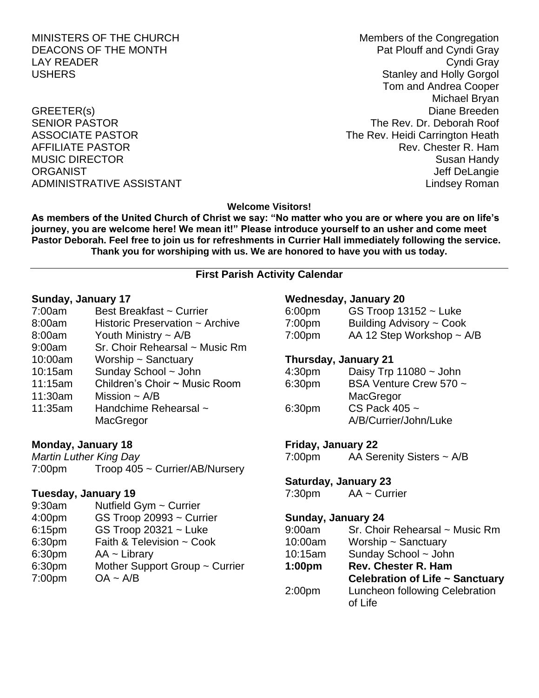MINISTERS OF THE CHURCH Members of the Congregation DEACONS OF THE MONTH **Pat Plouff and Cyndi Gray** LAY READER Cyndi Gray USHERS **Stanley and Holly Gorgol** Tom and Andrea Cooper Michael Bryan GREETER(s) Diane Breeden SENIOR PASTOR THE REV. Dr. Deborah Roof ASSOCIATE PASTOR **The Rev. Heidi Carrington Heath** AFFILIATE PASTOR **Rev. Chester R. Hammad AFFILIATE** PASTOR MUSIC DIRECTOR **Susan Handy** Susan Handy Susan Handy Susan Handy Susan Handy Susan Handy Susan Handy Susan Handy ORGANIST NEWSTAND ORGANIST CONSTRUCTED AND THE SERVICE OF STATE OF STATE OF STATE OF STATE OF STATE OF STATE O ADMINISTRATIVE ASSISTANT AND ALL THE LINDS OF A LINDS AND ALL THE LINDS AND ALL THE LINDS AND ALL THE LINDS OF A LINDS OF A LINDS OF A LINDS OF A LINDS OF A LINDS OF A LINDS OF A LINDS OF A LINDS OF A LINDS OF A LINDS OF A

### **Welcome Visitors!**

**As members of the United Church of Christ we say: "No matter who you are or where you are on life's journey, you are welcome here! We mean it!" Please introduce yourself to an usher and come meet Pastor Deborah. Feel free to join us for refreshments in Currier Hall immediately following the service. Thank you for worshiping with us. We are honored to have you with us today.**

### **First Parish Activity Calendar**

#### **Sunday, January 17**

- 7:00am Best Breakfast ~ Currier
- 8:00am Historic Preservation ~ Archive
- 8:00am Youth Ministry ~ A/B
- 9:00am Sr. Choir Rehearsal ~ Music Rm
- 10:00am Worship ~ Sanctuary
- 10:15am Sunday School ~ John
- 11:15am Children's Choir ~ Music Room
- 11:30am Mission  $\sim$  A/B
- 11:35am Handchime Rehearsal ~ **MacGregor**

### **Monday, January 18**

*Martin Luther King Day* 7:00pm Troop 405 ~ Currier/AB/Nursery

### **Tuesday, January 19**

9:30am Nutfield Gym ~ Currier 4:00pm GS Troop 20993 ~ Currier 6:15pm GS Troop 20321 ~ Luke 6:30pm Faith & Television ~ Cook 6:30pm AA ~ Library 6:30pm Mother Support Group ~ Currier 7:00pm OA ~ A/B

### **Wednesday, January 20**

| 6:00 <sub>pm</sub> | GS Troop $13152 -$ Luke        |
|--------------------|--------------------------------|
| 7:00 <sub>pm</sub> | Building Advisory ~ Cook       |
| 7:00 <sub>pm</sub> | AA 12 Step Workshop $\sim$ A/B |

#### **Thursday, January 21**

| 4:30 <sub>pm</sub> | Daisy Trp $11080 \sim$ John |
|--------------------|-----------------------------|
| 6:30pm             | BSA Venture Crew 570 ~      |
|                    | MacGregor                   |
| 6:30 <sub>pm</sub> | CS Pack $405 -$             |
|                    | A/B/Currier/John/Luke       |
|                    |                             |

#### **Friday, January 22**

7:00pm AA Serenity Sisters ~ A/B

#### **Saturday, January 23**

7:30pm AA ~ Currier

### **Sunday, January 24**

| 9:00am             | Sr. Choir Rehearsal ~ Music Rm  |
|--------------------|---------------------------------|
| 10:00am            | Worship ~ Sanctuary             |
| 10:15am            | Sunday School ~ John            |
| 1:00 <sub>pm</sub> | <b>Rev. Chester R. Ham</b>      |
|                    | Celebration of Life ~ Sanctuary |
| 2:00 <sub>pm</sub> | Luncheon following Celebration  |
|                    | of Life                         |
|                    |                                 |